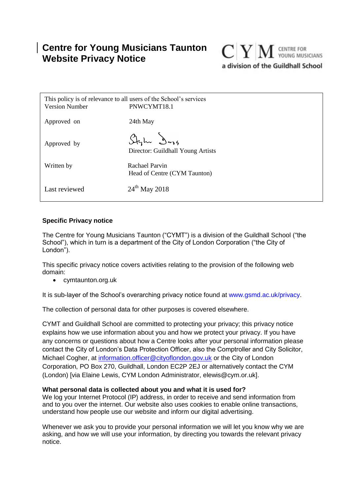# **Centre for Young Musicians Taunton Website Privacy Notice**



| <b>Version Number</b> | This policy is of relevance to all users of the School's services<br>PNWCYMT18.1 |
|-----------------------|----------------------------------------------------------------------------------|
| Approved on           | 24th May                                                                         |
| Approved by           | Stylu Dags<br>Director: Guildhall Young Artists                                  |
| Written by            | <b>Rachael Parvin</b><br>Head of Centre (CYM Taunton)                            |
| Last reviewed         | $24^{th}$ May 2018                                                               |

## **Specific Privacy notice**

The Centre for Young Musicians Taunton ("CYMT") is a division of the Guildhall School ("the School"), which in turn is a department of the City of London Corporation ("the City of London").

This specific privacy notice covers activities relating to the provision of the following web domain:

cymtaunton.org.uk

It is sub-layer of the School's overarching privacy notice found at www.gsmd.ac.uk/privacy.

The collection of personal data for other purposes is covered elsewhere.

CYMT and Guildhall School are committed to protecting your privacy; this privacy notice explains how we use information about you and how we protect your privacy. If you have any concerns or questions about how a Centre looks after your personal information please contact the City of London's Data Protection Officer, also the Comptroller and City Solicitor, Michael Cogher, at [information.officer@cityoflondon.gov.uk](mailto:information.officer@cityoflondon.gov.uk) or the City of London Corporation, PO Box 270, Guildhall, London EC2P 2EJ or alternatively contact the CYM (London) [via Elaine Lewis, CYM London Administrator, elewis@cym.or.uk].

## **What personal data is collected about you and what it is used for?**

We log your Internet Protocol (IP) address, in order to receive and send information from and to you over the internet. Our website also uses cookies to enable online transactions, understand how people use our website and inform our digital advertising.

Whenever we ask you to provide your personal information we will let you know why we are asking, and how we will use your information, by directing you towards the relevant privacy notice.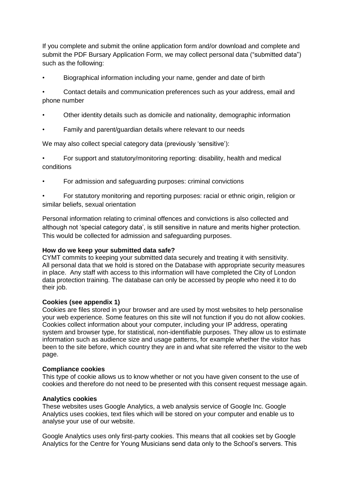If you complete and submit the online application form and/or download and complete and submit the PDF Bursary Application Form, we may collect personal data ("submitted data") such as the following:

• Biographical information including your name, gender and date of birth

• Contact details and communication preferences such as your address, email and phone number

- Other identity details such as domicile and nationality, demographic information
- Family and parent/guardian details where relevant to our needs

We may also collect special category data (previously 'sensitive'):

• For support and statutory/monitoring reporting: disability, health and medical conditions

• For admission and safeguarding purposes: criminal convictions

• For statutory monitoring and reporting purposes: racial or ethnic origin, religion or similar beliefs, sexual orientation

Personal information relating to criminal offences and convictions is also collected and although not 'special category data', is still sensitive in nature and merits higher protection. This would be collected for admission and safeguarding purposes.

## **How do we keep your submitted data safe?**

CYMT commits to keeping your submitted data securely and treating it with sensitivity. All personal data that we hold is stored on the Database with appropriate security measures in place. Any staff with access to this information will have completed the City of London data protection training. The database can only be accessed by people who need it to do their job.

## **Cookies (see appendix 1)**

Cookies are files stored in your browser and are used by most websites to help personalise your web experience. Some features on this site will not function if you do not allow cookies. Cookies collect information about your computer, including your IP address, operating system and browser type, for statistical, non-identifiable purposes. They allow us to estimate information such as audience size and usage patterns, for example whether the visitor has been to the site before, which country they are in and what site referred the visitor to the web page.

## **Compliance cookies**

This type of cookie allows us to know whether or not you have given consent to the use of cookies and therefore do not need to be presented with this consent request message again.

## **Analytics cookies**

These websites uses Google Analytics, a web analysis service of Google Inc. Google Analytics uses cookies, text files which will be stored on your computer and enable us to analyse your use of our website.

Google Analytics uses only first-party cookies. This means that all cookies set by Google Analytics for the Centre for Young Musicians send data only to the School's servers. This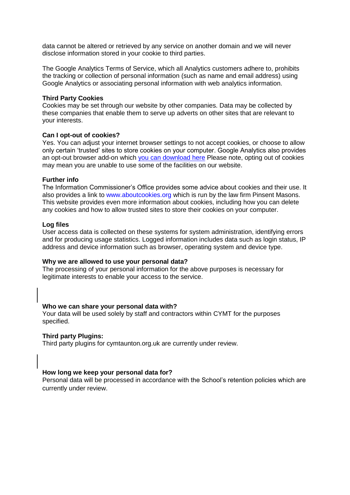data cannot be altered or retrieved by any service on another domain and we will never disclose information stored in your cookie to third parties.

The Google Analytics Terms of Service, which all Analytics customers adhere to, prohibits the tracking or collection of personal information (such as name and email address) using Google Analytics or associating personal information with web analytics information.

#### **Third Party Cookies**

Cookies may be set through our website by other companies. Data may be collected by these companies that enable them to serve up adverts on other sites that are relevant to your interests.

#### **Can I opt-out of cookies?**

Yes. You can adjust your internet browser settings to not accept cookies, or choose to allow only certain 'trusted' sites to store cookies on your computer. Google Analytics also provides an opt-out browser add-on which [you can download here](https://tools.google.com/dlpage/gaoptout?hl=None) Please note, opting out of cookies may mean you are unable to use some of the facilities on our website.

#### **Further info**

The Information Commissioner's Office provides some advice about cookies and their use. It also provides a link to www.aboutcookies.org which is run by the law firm Pinsent Masons. This website provides even more information about cookies, including how you can delete any cookies and how to allow trusted sites to store their cookies on your computer.

#### **Log files**

User access data is collected on these systems for system administration, identifying errors and for producing usage statistics. Logged information includes data such as login status, IP address and device information such as browser, operating system and device type.

#### **Why we are allowed to use your personal data?**

The processing of your personal information for the above purposes is necessary for legitimate interests to enable your access to the service.

#### **Who we can share your personal data with?**

Your data will be used solely by staff and contractors within CYMT for the purposes specified.

#### **Third party Plugins:**

Third party plugins for cymtaunton.org.uk are currently under review.

#### **How long we keep your personal data for?**

Personal data will be processed in accordance with the School's retention policies which are currently under review.